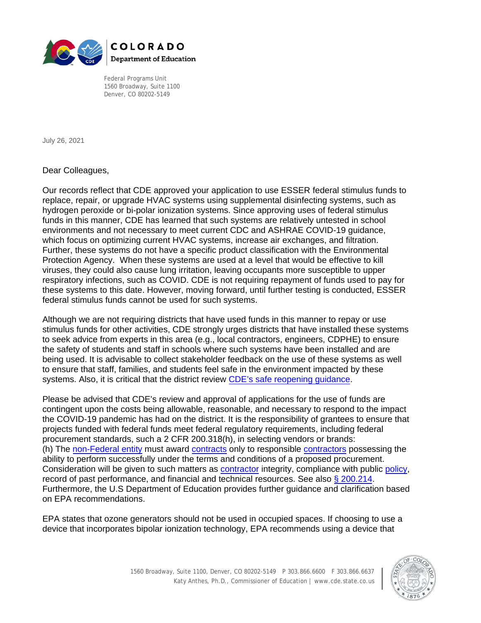

Federal Programs Unit 1560 Broadway, Suite 1100 Denver, CO 80202-5149

July 26, 2021

Dear Colleagues,

Our records reflect that CDE approved your application to use ESSER federal stimulus funds to replace, repair, or upgrade HVAC systems using supplemental disinfecting systems, such as hydrogen peroxide or bi-polar ionization systems. Since approving uses of federal stimulus funds in this manner, CDE has learned that such systems are relatively untested in school environments and not necessary to meet current CDC and ASHRAE COVID-19 guidance, which focus on optimizing current HVAC systems, increase air exchanges, and filtration. Further, these systems do not have a specific product classification with the Environmental Protection Agency. When these systems are used at a level that would be effective to kill viruses, they could also cause lung irritation, leaving occupants more susceptible to upper respiratory infections, such as COVID. CDE is not requiring repayment of funds used to pay for these systems to this date. However, moving forward, until further testing is conducted, ESSER federal stimulus funds cannot be used for such systems.

Although we are not requiring districts that have used funds in this manner to repay or use stimulus funds for other activities, CDE strongly urges districts that have installed these systems to seek advice from experts in this area (e.g., local contractors, engineers, CDPHE) to ensure the safety of students and staff in schools where such systems have been installed and are being used. It is advisable to collect stakeholder feedback on the use of these systems as well to ensure that staff, families, and students feel safe in the environment impacted by these systems. Also, it is critical that the district review [CDE's safe reopening guidance.](https://www.cde.state.co.us/planning20-21/reopeningschools-faq)

Please be advised that CDE's review and approval of applications for the use of funds are contingent upon the costs being allowable, reasonable, and necessary to respond to the impact the COVID-19 pandemic has had on the district. It is the responsibility of grantees to ensure that projects funded with federal funds meet federal regulatory requirements, including federal procurement standards, such a 2 CFR 200.318(h), in selecting vendors or brands: (h) The [non-Federal entity](https://www.law.cornell.edu/definitions/index.php?width=840&height=800&iframe=true&def_id=de00dfd10f09071c905d0928428a197d&term_occur=999&term_src=Title:2:Subtitle:A:Chapter:II:Part:200:Subpart:D:Subjgrp:28:200.318) must award [contracts](https://www.law.cornell.edu/definitions/index.php?width=840&height=800&iframe=true&def_id=646059bc8aa88050a7cb06464725dfbb&term_occur=999&term_src=Title:2:Subtitle:A:Chapter:II:Part:200:Subpart:D:Subjgrp:28:200.318) only to responsible [contractors](https://www.law.cornell.edu/definitions/index.php?width=840&height=800&iframe=true&def_id=8cb0d5b7b8f071bdd6dd7b70c5f08e91&term_occur=999&term_src=Title:2:Subtitle:A:Chapter:II:Part:200:Subpart:D:Subjgrp:28:200.318) possessing the ability to perform successfully under the terms and conditions of a proposed procurement. Consideration will be given to such matters as [contractor](https://www.law.cornell.edu/definitions/index.php?width=840&height=800&iframe=true&def_id=8cb0d5b7b8f071bdd6dd7b70c5f08e91&term_occur=999&term_src=Title:2:Subtitle:A:Chapter:II:Part:200:Subpart:D:Subjgrp:28:200.318) integrity, compliance with public [policy,](https://www.law.cornell.edu/definitions/index.php?width=840&height=800&iframe=true&def_id=d7d23b68f8d3d33cf76dc014dc176590&term_occur=999&term_src=Title:2:Subtitle:A:Chapter:II:Part:200:Subpart:D:Subjgrp:28:200.318) record of past performance, and financial and technical resources. See also [§ 200.214.](https://www.law.cornell.edu/cfr/text/2/200.214) Furthermore, the U.S Department of Education provides further guidance and clarification based on EPA recommendations.

EPA states that ozone generators should not be used in occupied spaces. If choosing to use a device that incorporates bipolar ionization technology, EPA recommends using a device that